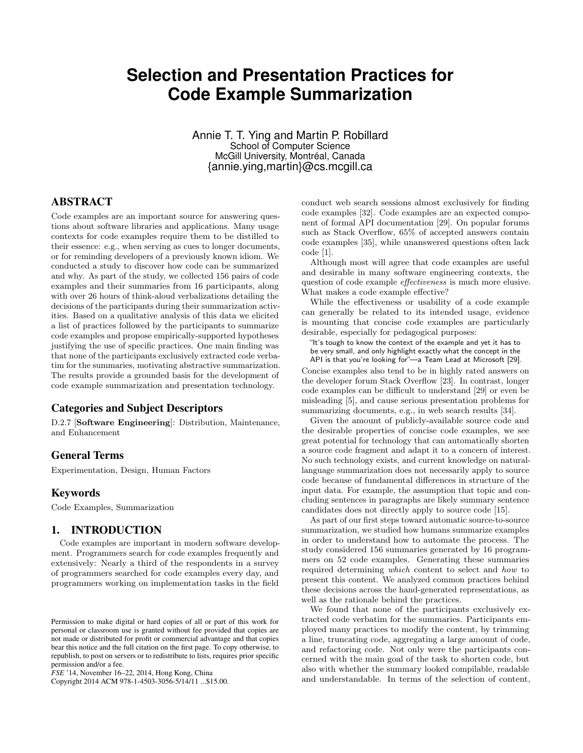# **Selection and Presentation Practices for Code Example Summarization**

Annie T. T. Ying and Martin P. Robillard School of Computer Science McGill University, Montréal, Canada {annie.ying,martin}@cs.mcgill.ca

# ABSTRACT

Code examples are an important source for answering questions about software libraries and applications. Many usage contexts for code examples require them to be distilled to their essence: e.g., when serving as cues to longer documents, or for reminding developers of a previously known idiom. We conducted a study to discover how code can be summarized and why. As part of the study, we collected 156 pairs of code examples and their summaries from 16 participants, along with over 26 hours of think-aloud verbalizations detailing the decisions of the participants during their summarization activities. Based on a qualitative analysis of this data we elicited a list of practices followed by the participants to summarize code examples and propose empirically-supported hypotheses justifying the use of specific practices. One main finding was that none of the participants exclusively extracted code verbatim for the summaries, motivating abstractive summarization. The results provide a grounded basis for the development of code example summarization and presentation technology.

#### Categories and Subject Descriptors

D.2.7 [Software Engineering]: Distribution, Maintenance, and Enhancement

### General Terms

Experimentation, Design, Human Factors

### Keywords

Code Examples, Summarization

# 1. INTRODUCTION

Code examples are important in modern software development. Programmers search for code examples frequently and extensively: Nearly a third of the respondents in a survey of programmers searched for code examples every day, and programmers working on implementation tasks in the field

Copyright 2014 ACM 978-1-4503-3056-5/14/11 ...\$15.00.

conduct web search sessions almost exclusively for finding code examples [\[32\]](#page-11-0). Code examples are an expected component of formal API documentation [\[29\]](#page-10-0). On popular forums such as Stack Overflow, 65% of accepted answers contain code examples [\[35\]](#page-11-1), while unanswered questions often lack code [\[1\]](#page-10-1).

Although most will agree that code examples are useful and desirable in many software engineering contexts, the question of code example effectiveness is much more elusive. What makes a code example effective?

While the effectiveness or usability of a code example can generally be related to its intended usage, evidence is mounting that concise code examples are particularly desirable, especially for pedagogical purposes:

"It's tough to know the context of the example and yet it has to be very small, and only highlight exactly what the concept in the API is that you're looking for"—a Team Lead at Microsoft [\[29\]](#page-10-0).

Concise examples also tend to be in highly rated answers on the developer forum Stack Overflow [\[23\]](#page-10-2). In contrast, longer code examples can be difficult to understand [\[29\]](#page-10-0) or even be misleading [\[5\]](#page-10-3), and cause serious presentation problems for summarizing documents, e.g., in web search results [\[34\]](#page-11-2).

Given the amount of publicly-available source code and the desirable properties of concise code examples, we see great potential for technology that can automatically shorten a source code fragment and adapt it to a concern of interest. No such technology exists, and current knowledge on naturallanguage summarization does not necessarily apply to source code because of fundamental differences in structure of the input data. For example, the assumption that topic and concluding sentences in paragraphs are likely summary sentence candidates does not directly apply to source code [\[15\]](#page-10-4).

As part of our first steps toward automatic source-to-source summarization, we studied how humans summarize examples in order to understand how to automate the process. The study considered 156 summaries generated by 16 programmers on 52 code examples. Generating these summaries required determining which content to select and how to present this content. We analyzed common practices behind these decisions across the hand-generated representations, as well as the rationale behind the practices.

We found that none of the participants exclusively extracted code verbatim for the summaries. Participants employed many practices to modify the content, by trimming a line, truncating code, aggregating a large amount of code, and refactoring code. Not only were the participants concerned with the main goal of the task to shorten code, but also with whether the summary looked compilable, readable and understandable. In terms of the selection of content,

Permission to make digital or hard copies of all or part of this work for personal or classroom use is granted without fee provided that copies are not made or distributed for profit or commercial advantage and that copies bear this notice and the full citation on the first page. To copy otherwise, to republish, to post on servers or to redistribute to lists, requires prior specific permission and/or a fee.

*FSE* '14, November 16–22, 2014, Hong Kong, China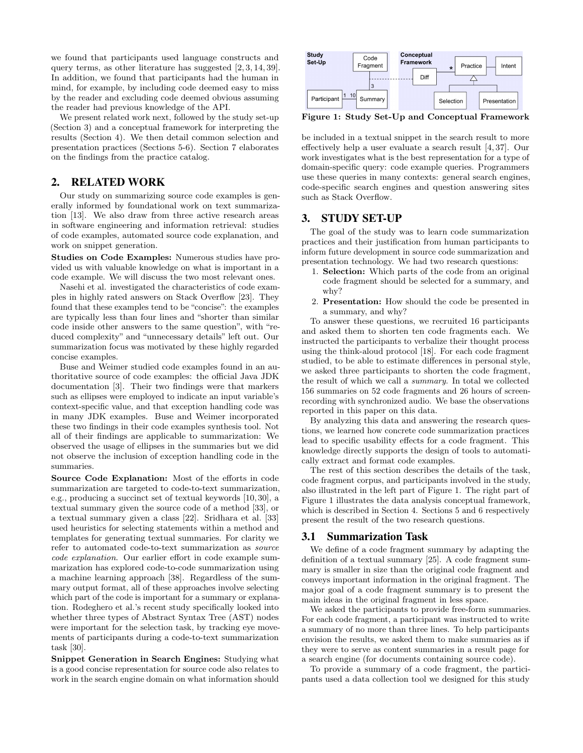we found that participants used language constructs and query terms, as other literature has suggested [\[2,](#page-10-5) [3,](#page-10-6) [14,](#page-10-7) [39\]](#page-11-3). In addition, we found that participants had the human in mind, for example, by including code deemed easy to miss by the reader and excluding code deemed obvious assuming the reader had previous knowledge of the API.

We present related work next, followed by the study set-up (Section [3\)](#page-1-0) and a conceptual framework for interpreting the results (Section [4\)](#page-3-0). We then detail common selection and presentation practices (Sections [5-](#page-4-0)[6\)](#page-5-0). Section [7](#page-8-0) elaborates on the findings from the practice catalog.

#### 2. RELATED WORK

Our study on summarizing source code examples is generally informed by foundational work on text summarization [\[13\]](#page-10-8). We also draw from three active research areas in software engineering and information retrieval: studies of code examples, automated source code explanation, and work on snippet generation.

Studies on Code Examples: Numerous studies have provided us with valuable knowledge on what is important in a code example. We will discuss the two most relevant ones.

Nasehi et al. investigated the characteristics of code examples in highly rated answers on Stack Overflow [\[23\]](#page-10-2). They found that these examples tend to be "concise": the examples are typically less than four lines and "shorter than similar code inside other answers to the same question", with "reduced complexity" and "unnecessary details" left out. Our summarization focus was motivated by these highly regarded concise examples.

Buse and Weimer studied code examples found in an authoritative source of code examples: the official Java JDK documentation [\[3\]](#page-10-6). Their two findings were that markers such as ellipses were employed to indicate an input variable's context-specific value, and that exception handling code was in many JDK examples. Buse and Weimer incorporated these two findings in their code examples synthesis tool. Not all of their findings are applicable to summarization: We observed the usage of ellipses in the summaries but we did not observe the inclusion of exception handling code in the summaries.

Source Code Explanation: Most of the efforts in code summarization are targeted to code-to-text summarization, e.g., producing a succinct set of textual keywords [\[10,](#page-10-9) [30\]](#page-10-10), a textual summary given the source code of a method [\[33\]](#page-11-4), or a textual summary given a class [\[22\]](#page-10-11). Sridhara et al. [\[33\]](#page-11-4) used heuristics for selecting statements within a method and templates for generating textual summaries. For clarity we refer to automated code-to-text summarization as source code explanation. Our earlier effort in code example summarization has explored code-to-code summarization using a machine learning approach [\[38\]](#page-11-5). Regardless of the summary output format, all of these approaches involve selecting which part of the code is important for a summary or explanation. Rodeghero et al.'s recent study specifically looked into whether three types of Abstract Syntax Tree (AST) nodes were important for the selection task, by tracking eye movements of participants during a code-to-text summarization task [\[30\]](#page-10-10).

Snippet Generation in Search Engines: Studying what is a good concise representation for source code also relates to work in the search engine domain on what information should



<span id="page-1-1"></span>Figure 1: Study Set-Up and Conceptual Framework

be included in a textual snippet in the search result to more effectively help a user evaluate a search result [\[4,](#page-10-12) [37\]](#page-11-6). Our work investigates what is the best representation for a type of domain-specific query: code example queries. Programmers use these queries in many contexts: general search engines, code-specific search engines and question answering sites such as Stack Overflow.

# <span id="page-1-0"></span>3. STUDY SET-UP

The goal of the study was to learn code summarization practices and their justification from human participants to inform future development in source code summarization and presentation technology. We had two research questions:

- 1. Selection: Which parts of the code from an original code fragment should be selected for a summary, and why?
- 2. Presentation: How should the code be presented in a summary, and why?

To answer these questions, we recruited 16 participants and asked them to shorten ten code fragments each. We instructed the participants to verbalize their thought process using the think-aloud protocol [\[18\]](#page-10-13). For each code fragment studied, to be able to estimate differences in personal style, we asked three participants to shorten the code fragment, the result of which we call a summary. In total we collected 156 summaries on 52 code fragments and 26 hours of screenrecording with synchronized audio. We base the observations reported in this paper on this data.

By analyzing this data and answering the research questions, we learned how concrete code summarization practices lead to specific usability effects for a code fragment. This knowledge directly supports the design of tools to automatically extract and format code examples.

The rest of this section describes the details of the task, code fragment corpus, and participants involved in the study, also illustrated in the left part of Figure [1.](#page-1-1) The right part of Figure [1](#page-1-1) illustrates the data analysis conceptual framework, which is described in Section [4.](#page-3-0) Sections [5](#page-4-0) and [6](#page-5-0) respectively present the result of the two research questions.

#### <span id="page-1-2"></span>3.1 Summarization Task

We define of a code fragment summary by adapting the definition of a textual summary [\[25\]](#page-10-14). A code fragment summary is smaller in size than the original code fragment and conveys important information in the original fragment. The major goal of a code fragment summary is to present the main ideas in the original fragment in less space.

We asked the participants to provide free-form summaries. For each code fragment, a participant was instructed to write a summary of no more than three lines. To help participants envision the results, we asked them to make summaries as if they were to serve as content summaries in a result page for a search engine (for documents containing source code).

To provide a summary of a code fragment, the participants used a data collection tool we designed for this study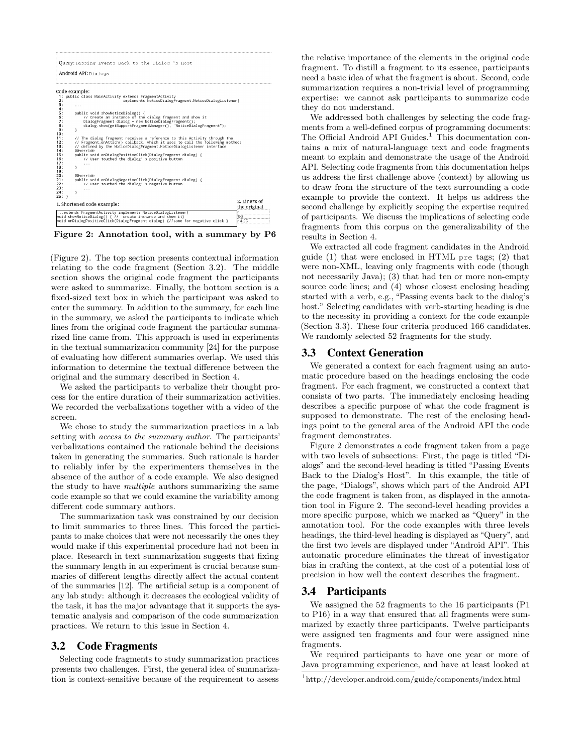| Query: Passing Events Back to the Dialog 's Host                                                                                                                                                                                                                           |                |  |  |  |  |  |  |
|----------------------------------------------------------------------------------------------------------------------------------------------------------------------------------------------------------------------------------------------------------------------------|----------------|--|--|--|--|--|--|
| Android API: Dialogs                                                                                                                                                                                                                                                       |                |  |  |  |  |  |  |
| Code example:<br>1: public class MainActivity extends FragmentActivity                                                                                                                                                                                                     |                |  |  |  |  |  |  |
| 2:<br>implements NoticeDialogFragment.NoticeDialogListener{<br>3:<br>$\cdots$<br>4:                                                                                                                                                                                        |                |  |  |  |  |  |  |
| 5:<br>public void showNoticeDialog() {<br>6:<br>// Create an instance of the dialog fragment and show it<br>7:<br>DialogFragment dialog = new NoticeDialogFragment();<br>8:<br>dialog.show(getSupportFragmentManager(), "NoticeDialogFragment");<br>9:<br>Y                |                |  |  |  |  |  |  |
| 10:<br>11:<br>// The dialog fragment receives a reference to this Activity through the<br>12:<br>// Fragment.onAttach() callback, which it uses to call the following methods<br>13:<br>// defined by the NoticeDialogFragment.NoticeDialogListener interface<br>@Override |                |  |  |  |  |  |  |
| 14:<br>15:<br>public void onDialogPositiveClick(DialogFragment dialog) {<br>16:<br>// User touched the dialog''s positive button<br>17:<br>$\sim$ 100 $\pm$<br>18:<br>Y                                                                                                    |                |  |  |  |  |  |  |
| 19:<br>20:<br>@Override<br>21:<br>public void onDialogNegativeClick(DialogFragment dialog) {<br>22:<br>// User touched the dialog''s negative button<br>23:<br>$\sim$ $\sim$                                                                                               |                |  |  |  |  |  |  |
| 24:<br>Y<br>$25:$ }                                                                                                                                                                                                                                                        | 2. Line#s of   |  |  |  |  |  |  |
| 1. Shortened code example:                                                                                                                                                                                                                                                 | the original   |  |  |  |  |  |  |
| extends FragmentActivity implements NoticeDialogListener{<br>void showNoticeDialog() { // create instance and show it}<br>[void onDialogPositiveClick(DialogFragment dialog) {//same for negative click }                                                                  | $5-8$<br>14-25 |  |  |  |  |  |  |

<span id="page-2-0"></span>Figure 2: Annotation tool, with a summary by P6

(Figure [2\)](#page-2-0). The top section presents contextual information relating to the code fragment (Section [3.2\)](#page-2-1). The middle section shows the original code fragment the participants were asked to summarize. Finally, the bottom section is a fixed-sized text box in which the participant was asked to enter the summary. In addition to the summary, for each line in the summary, we asked the participants to indicate which lines from the original code fragment the particular summarized line came from. This approach is used in experiments in the textual summarization community [\[24\]](#page-10-15) for the purpose of evaluating how different summaries overlap. We used this information to determine the textual difference between the original and the summary described in Section [4.](#page-3-0)

We asked the participants to verbalize their thought process for the entire duration of their summarization activities. We recorded the verbalizations together with a video of the screen.

We chose to study the summarization practices in a lab setting with access to the summary author. The participants' verbalizations contained the rationale behind the decisions taken in generating the summaries. Such rationale is harder to reliably infer by the experimenters themselves in the absence of the author of a code example. We also designed the study to have multiple authors summarizing the same code example so that we could examine the variability among different code summary authors.

The summarization task was constrained by our decision to limit summaries to three lines. This forced the participants to make choices that were not necessarily the ones they would make if this experimental procedure had not been in place. Research in text summarization suggests that fixing the summary length in an experiment is crucial because summaries of different lengths directly affect the actual content of the summaries [\[12\]](#page-10-16). The artificial setup is a component of any lab study: although it decreases the ecological validity of the task, it has the major advantage that it supports the systematic analysis and comparison of the code summarization practices. We return to this issue in Section [4.](#page-3-0)

#### <span id="page-2-1"></span>3.2 Code Fragments

Selecting code fragments to study summarization practices presents two challenges. First, the general idea of summarization is context-sensitive because of the requirement to assess

the relative importance of the elements in the original code fragment. To distill a fragment to its essence, participants need a basic idea of what the fragment is about. Second, code summarization requires a non-trivial level of programming expertise: we cannot ask participants to summarize code they do not understand.

We addressed both challenges by selecting the code fragments from a well-defined corpus of programming documents: The Official Android API Guides.<sup>[1](#page-2-2)</sup> This documentation contains a mix of natural-language text and code fragments meant to explain and demonstrate the usage of the Android API. Selecting code fragments from this documentation helps us address the first challenge above (context) by allowing us to draw from the structure of the text surrounding a code example to provide the context. It helps us address the second challenge by explicitly scoping the expertise required of participants. We discuss the implications of selecting code fragments from this corpus on the generalizability of the results in Section [4.](#page-3-0)

We extracted all code fragment candidates in the Android guide (1) that were enclosed in HTML pre tags; (2) that were non-XML, leaving only fragments with code (though not necessarily Java); (3) that had ten or more non-empty source code lines; and (4) whose closest enclosing heading started with a verb, e.g., "Passing events back to the dialog's host." Selecting candidates with verb-starting heading is due to the necessity in providing a context for the code example (Section [3.3\)](#page-2-3). These four criteria produced 166 candidates. We randomly selected 52 fragments for the study.

#### <span id="page-2-3"></span>3.3 Context Generation

We generated a context for each fragment using an automatic procedure based on the headings enclosing the code fragment. For each fragment, we constructed a context that consists of two parts. The immediately enclosing heading describes a specific purpose of what the code fragment is supposed to demonstrate. The rest of the enclosing headings point to the general area of the Android API the code fragment demonstrates.

Figure [2](#page-2-0) demonstrates a code fragment taken from a page with two levels of subsections: First, the page is titled "Dialogs" and the second-level heading is titled "Passing Events Back to the Dialog's Host". In this example, the title of the page, "Dialogs", shows which part of the Android API the code fragment is taken from, as displayed in the annotation tool in Figure [2.](#page-2-0) The second-level heading provides a more specific purpose, which we marked as "Query" in the annotation tool. For the code examples with three levels headings, the third-level heading is displayed as "Query", and the first two levels are displayed under "Android API". This automatic procedure eliminates the threat of investigator bias in crafting the context, at the cost of a potential loss of precision in how well the context describes the fragment.

### 3.4 Participants

We assigned the 52 fragments to the 16 participants (P1 to P16) in a way that ensured that all fragments were summarized by exactly three participants. Twelve participants were assigned ten fragments and four were assigned nine fragments.

We required participants to have one year or more of Java programming experience, and have at least looked at

<span id="page-2-2"></span><sup>1</sup> http://developer.android.com/guide/components/index.html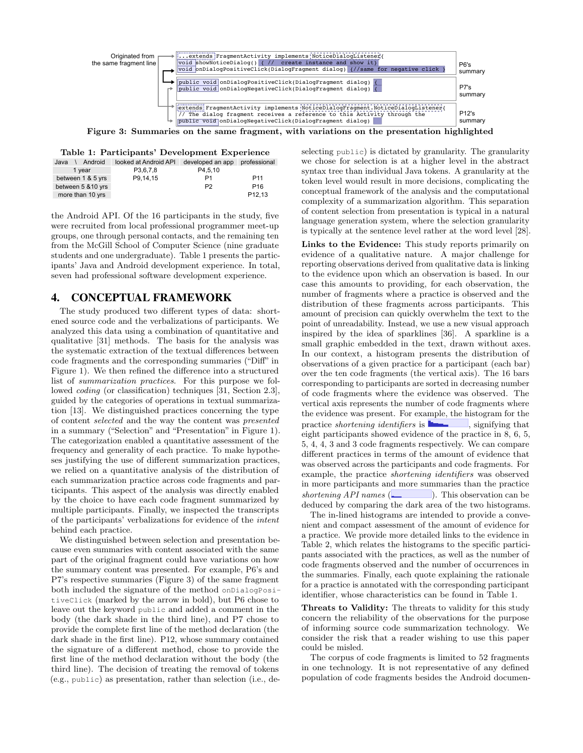

<span id="page-3-2"></span><span id="page-3-1"></span>

| Table 1: Participants' Development Experience |                       |                  |                    |  |  |  |  |  |  |
|-----------------------------------------------|-----------------------|------------------|--------------------|--|--|--|--|--|--|
| Android<br>Java                               | looked at Android API | developed an app | professional       |  |  |  |  |  |  |
| 1 year                                        | P3,6,7,8              | P4,5,10          |                    |  |  |  |  |  |  |
| between 1 & 5 yrs                             | P9.14.15              | P <sub>1</sub>   | P <sub>11</sub>    |  |  |  |  |  |  |
| between 5 & 10 yrs                            |                       | P <sub>2</sub>   | P <sub>16</sub>    |  |  |  |  |  |  |
| more than 10 yrs                              |                       |                  | P <sub>12.13</sub> |  |  |  |  |  |  |

the Android API. Of the 16 participants in the study, five were recruited from local professional programmer meet-up groups, one through personal contacts, and the remaining ten from the McGill School of Computer Science (nine graduate students and one undergraduate). Table [1](#page-3-1) presents the participants' Java and Android development experience. In total, seven had professional software development experience.

# <span id="page-3-0"></span>4. CONCEPTUAL FRAMEWORK

The study produced two different types of data: shortened source code and the verbalizations of participants. We analyzed this data using a combination of quantitative and qualitative [\[31\]](#page-11-7) methods. The basis for the analysis was the systematic extraction of the textual differences between code fragments and the corresponding summaries ("Diff" in Figure [1\)](#page-1-1). We then refined the difference into a structured list of summarization practices. For this purpose we followed coding (or classification) techniques [\[31,](#page-11-7) Section 2.3], guided by the categories of operations in textual summarization [\[13\]](#page-10-8). We distinguished practices concerning the type of content selected and the way the content was presented in a summary ("Selection" and "Presentation" in Figure [1\)](#page-1-1). The categorization enabled a quantitative assessment of the frequency and generality of each practice. To make hypotheses justifying the use of different summarization practices, we relied on a quantitative analysis of the distribution of each summarization practice across code fragments and participants. This aspect of the analysis was directly enabled by the choice to have each code fragment summarized by multiple participants. Finally, we inspected the transcripts of the participants' verbalizations for evidence of the intent behind each practice.

We distinguished between selection and presentation because even summaries with content associated with the same part of the original fragment could have variations on how the summary content was presented. For example, P6's and P7's respective summaries (Figure [3\)](#page-3-2) of the same fragment both included the signature of the method onDialogPositiveClick (marked by the arrow in bold), but P6 chose to leave out the keyword public and added a comment in the body (the dark shade in the third line), and P7 chose to provide the complete first line of the method declaration (the dark shade in the first line). P12, whose summary contained the signature of a different method, chose to provide the first line of the method declaration without the body (the third line). The decision of treating the removal of tokens (e.g., public) as presentation, rather than selection (i.e., deselecting public) is dictated by granularity. The granularity we chose for selection is at a higher level in the abstract syntax tree than individual Java tokens. A granularity at the token level would result in more decisions, complicating the conceptual framework of the analysis and the computational complexity of a summarization algorithm. This separation of content selection from presentation is typical in a natural language generation system, where the selection granularity is typically at the sentence level rather at the word level [\[28\]](#page-10-17).

Links to the Evidence: This study reports primarily on evidence of a qualitative nature. A major challenge for reporting observations derived from qualitative data is linking to the evidence upon which an observation is based. In our case this amounts to providing, for each observation, the number of fragments where a practice is observed and the distribution of these fragments across participants. This amount of precision can quickly overwhelm the text to the point of unreadability. Instead, we use a new visual approach inspired by the idea of sparklines [\[36\]](#page-11-8). A sparkline is a small graphic embedded in the text, drawn without axes. In our context, a histogram presents the distribution of observations of a given practice for a participant (each bar) over the ten code fragments (the vertical axis). The 16 bars corresponding to participants are sorted in decreasing number of code fragments where the evidence was observed. The vertical axis represents the number of code fragments where the evidence was present. For example, the histogram for the practice *shortening identifiers* is  $\blacksquare$ , signifying that eight participants showed evidence of the practice in 8, 6, 5, 5, 4, 4, 3 and 3 code fragments respectively. We can compare different practices in terms of the amount of evidence that was observed across the participants and code fragments. For example, the practice shortening identifiers was observed in more participants and more summaries than the practice shortening API names  $($ . This observation can be deduced by comparing the dark area of the two histograms.

The in-lined histograms are intended to provide a convenient and compact assessment of the amount of evidence for a practice. We provide more detailed links to the evidence in Table [2,](#page-6-0) which relates the histograms to the specific participants associated with the practices, as well as the number of code fragments observed and the number of occurrences in the summaries. Finally, each quote explaining the rationale for a practice is annotated with the corresponding participant identifier, whose characteristics can be found in Table [1.](#page-3-1)

Threats to Validity: The threats to validity for this study concern the reliability of the observations for the purpose of informing source code summarization technology. We consider the risk that a reader wishing to use this paper could be misled.

The corpus of code fragments is limited to 52 fragments in one technology. It is not representative of any defined population of code fragments besides the Android documen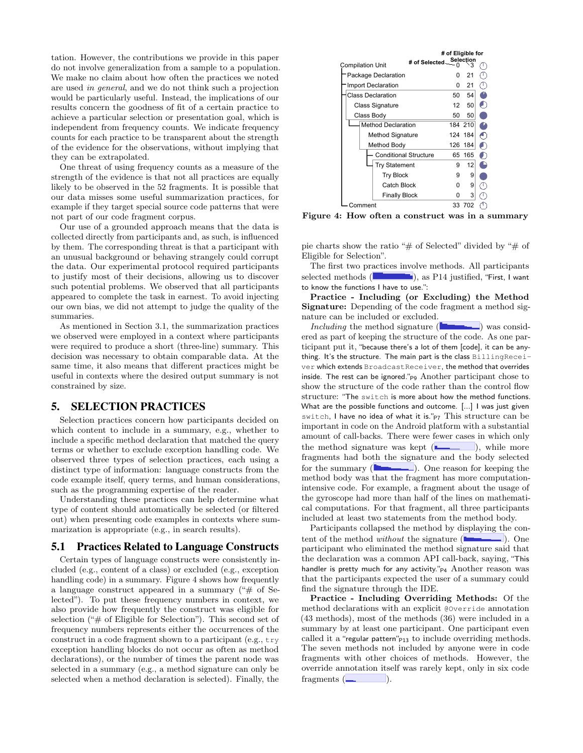tation. However, the contributions we provide in this paper do not involve generalization from a sample to a population. We make no claim about how often the practices we noted are used in general, and we do not think such a projection would be particularly useful. Instead, the implications of our results concern the goodness of fit of a certain practice to achieve a particular selection or presentation goal, which is independent from frequency counts. We indicate frequency counts for each practice to be transparent about the strength of the evidence for the observations, without implying that they can be extrapolated.

One threat of using frequency counts as a measure of the strength of the evidence is that not all practices are equally likely to be observed in the 52 fragments. It is possible that our data misses some useful summarization practices, for example if they target special source code patterns that were not part of our code fragment corpus.

Our use of a grounded approach means that the data is collected directly from participants and, as such, is influenced by them. The corresponding threat is that a participant with an unusual background or behaving strangely could corrupt the data. Our experimental protocol required participants to justify most of their decisions, allowing us to discover such potential problems. We observed that all participants appeared to complete the task in earnest. To avoid injecting our own bias, we did not attempt to judge the quality of the summaries.

As mentioned in Section [3.1,](#page-1-2) the summarization practices we observed were employed in a context where participants were required to produce a short (three-line) summary. This decision was necessary to obtain comparable data. At the same time, it also means that different practices might be useful in contexts where the desired output summary is not constrained by size.

# <span id="page-4-0"></span>5. SELECTION PRACTICES

Selection practices concern how participants decided on which content to include in a summary, e.g., whether to include a specific method declaration that matched the query terms or whether to exclude exception handling code. We observed three types of selection practices, each using a distinct type of information: language constructs from the code example itself, query terms, and human considerations, such as the programming expertise of the reader.

Understanding these practices can help determine what type of content should automatically be selected (or filtered out) when presenting code examples in contexts where summarization is appropriate (e.g., in search results).

#### 5.1 Practices Related to Language Constructs

Certain types of language constructs were consistently included (e.g., content of a class) or excluded (e.g., exception handling code) in a summary. Figure [4](#page-4-1) shows how frequently a language construct appeared in a summary  $(4#)$  of Selected"). To put these frequency numbers in context, we also provide how frequently the construct was eligible for selection ("# of Eligible for Selection"). This second set of frequency numbers represents either the occurrences of the construct in a code fragment shown to a participant (e.g., try exception handling blocks do not occur as often as method declarations), or the number of times the parent node was selected in a summary (e.g., a method signature can only be selected when a method declaration is selected). Finally, the



<span id="page-4-1"></span>Figure 4: How often a construct was in a summary

pie charts show the ratio " $#$  of Selected" divided by " $#$  of Eligible for Selection".

The first two practices involve methods. All participants selected methods (**Internal 1**), as P14 justified, "First, I want to know the functions I have to use.":

Practice - Including (or Excluding) the Method Signature: Depending of the code fragment a method signature can be included or excluded.

Including the method signature  $($   $\blacksquare$ ) was considered as part of keeping the structure of the code. As one participant put it, "because there's a lot of them [code], it can be anything. It's the structure. The main part is the class BillingReceiver which extends BroadcastReceiver, the method that overrides inside. The rest can be ignored." $_{P9}$  Another participant chose to show the structure of the code rather than the control flow structure: "The switch is more about how the method functions. What are the possible functions and outcome. [...] I was just given switch, I have no idea of what it is." $p_7$  This structure can be important in code on the Android platform with a substantial amount of call-backs. There were fewer cases in which only the method signature was kept  $($   $)$ , while more fragments had both the signature and the body selected for the summary (**ILCONSIDENTIAL**). One reason for keeping the method body was that the fragment has more computationintensive code. For example, a fragment about the usage of the gyroscope had more than half of the lines on mathematical computations. For that fragment, all three participants included at least two statements from the method body.

Participants collapsed the method by displaying the content of the method *without* the signature  $(\blacksquare$ ). One participant who eliminated the method signature said that the declaration was a common API call-back, saying, "This handler is pretty much for any activity." $p_4$  Another reason was that the participants expected the user of a summary could find the signature through the IDE.

Practice - Including Overriding Methods: Of the method declarations with an explicit @Override annotation (43 methods), most of the methods (36) were included in a summary by at least one participant. One participant even called it a "regular pattern" $p_{13}$  to include overriding methods. The seven methods not included by anyone were in code fragments with other choices of methods. However, the override annotation itself was rarely kept, only in six code fragments  $($   $\qquad$ .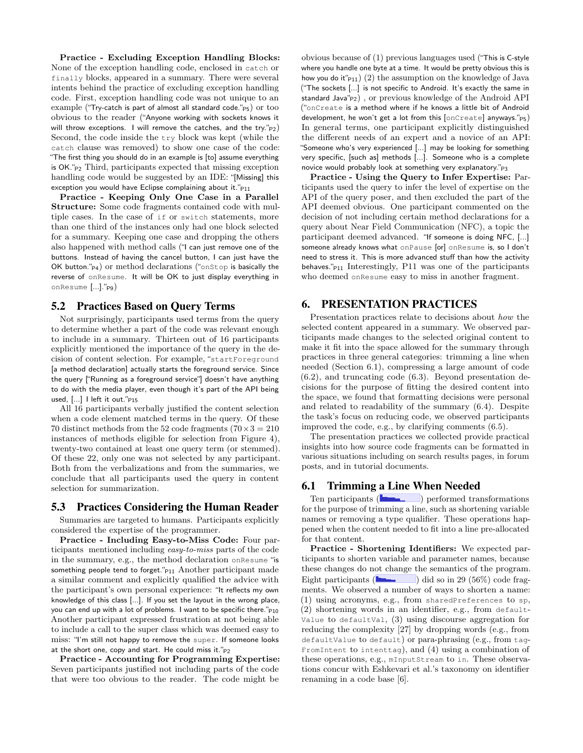Practice - Excluding Exception Handling Blocks: None of the exception handling code, enclosed in catch or finally blocks, appeared in a summary. There were several intents behind the practice of excluding exception handling code. First, exception handling code was not unique to an example ("Try-catch is part of almost all standard code." $p_5$ ) or too obvious to the reader ("Anyone working with sockets knows it will throw exceptions. I will remove the catches, and the try." $p_2$ ) Second, the code inside the try block was kept (while the catch clause was removed) to show one case of the code: "The first thing you should do in an example is [to] assume everything is OK."P2 Third, participants expected that missing exception handling code would be suggested by an IDE: "[Missing] this exception you would have Eclipse complaining about it."P11

Practice - Keeping Only One Case in a Parallel Structure: Some code fragments contained code with multiple cases. In the case of if or switch statements, more than one third of the instances only had one block selected for a summary. Keeping one case and dropping the others also happened with method calls ("I can just remove one of the buttons. Instead of having the cancel button, I can just have the OK button."P4) or method declarations ("onStop is basically the reverse of onResume. It will be OK to just display everything in onResume [...]."P9)

#### 5.2 Practices Based on Query Terms

Not surprisingly, participants used terms from the query to determine whether a part of the code was relevant enough to include in a summary. Thirteen out of 16 participants explicitly mentioned the importance of the query in the decision of content selection. For example, "startForeground [a method declaration] actually starts the foreground service. Since the query ["Running as a foreground service"] doesn't have anything to do with the media player, even though it's part of the API being used, [...] I left it out."<sub>P15</sub>

All 16 participants verbally justified the content selection when a code element matched terms in the query. Of these 70 distinct methods from the 52 code fragments ( $70 \times 3 = 210$ ) instances of methods eligible for selection from Figure [4\)](#page-4-1), twenty-two contained at least one query term (or stemmed). Of these 22, only one was not selected by any participant. Both from the verbalizations and from the summaries, we conclude that all participants used the query in content selection for summarization.

#### 5.3 Practices Considering the Human Reader

Summaries are targeted to humans. Participants explicitly considered the expertise of the programmer.

Practice - Including Easy-to-Miss Code: Four participants mentioned including easy-to-miss parts of the code in the summary, e.g., the method declaration onResume "is something people tend to forget." $_{P11}$  Another participant made a similar comment and explicitly qualified the advice with the participant's own personal experience: "It reflects my own knowledge of this class [...]. If you set the layout in the wrong place, you can end up with a lot of problems. I want to be specific there."P10 Another participant expressed frustration at not being able to include a call to the super class which was deemed easy to miss: "I'm still not happy to remove the super. If someone looks at the short one, copy and start. He could miss it." $p_2$ 

Practice - Accounting for Programming Expertise: Seven participants justified not including parts of the code that were too obvious to the reader. The code might be obvious because of (1) previous languages used ("This is C-style where you handle one byte at a time. It would be pretty obvious this is how you do it" $_{P11}$ ) (2) the assumption on the knowledge of Java ("The sockets [...] is not specific to Android. It's exactly the same in standard Java"<sub>P2</sub>), or previous knowledge of the Android API ("onCreate is a method where if he knows a little bit of Android development, he won't get a lot from this  $[onCreate]$  anyways." $p_5$ ) In general terms, one participant explicitly distinguished the different needs of an expert and a novice of an API: "Someone who's very experienced [...] may be looking for something very specific, [such as] methods [...]. Someone who is a complete novice would probably look at something very explanatory."P3

Practice - Using the Query to Infer Expertise: Participants used the query to infer the level of expertise on the API of the query poser, and then excluded the part of the API deemed obvious. One participant commented on the decision of not including certain method declarations for a query about Near Field Communication (NFC), a topic the participant deemed advanced. "If someone is doing NFC, [...] someone already knows what onPause [or] onResume is, so I don't need to stress it. This is more advanced stuff than how the activity behaves." $P_{11}$  Interestingly, P11 was one of the participants who deemed onResume easy to miss in another fragment.

# <span id="page-5-0"></span>6. PRESENTATION PRACTICES

Presentation practices relate to decisions about how the selected content appeared in a summary. We observed participants made changes to the selected original content to make it fit into the space allowed for the summary through practices in three general categories: trimming a line when needed (Section [6.1\)](#page-5-1), compressing a large amount of code [\(6.2\)](#page-6-1), and truncating code [\(6.3\)](#page-7-0). Beyond presentation decisions for the purpose of fitting the desired content into the space, we found that formatting decisions were personal and related to readability of the summary [\(6.4\)](#page-7-1). Despite the task's focus on reducing code, we observed participants improved the code, e.g., by clarifying comments [\(6.5\)](#page-8-1).

The presentation practices we collected provide practical insights into how source code fragments can be formatted in various situations including on search results pages, in forum posts, and in tutorial documents.

#### <span id="page-5-1"></span>6.1 Trimming a Line When Needed

Ten participants (**Departicipants**) performed transformations for the purpose of trimming a line, such as shortening variable names or removing a type qualifier. These operations happened when the content needed to fit into a line pre-allocated for that content.

Practice - Shortening Identifiers: We expected participants to shorten variable and parameter names, because these changes do not change the semantics of the program. Eight participants ( $\blacksquare$ ) did so in 29 (56%) code fragments. We observed a number of ways to shorten a name: (1) using acronyms, e.g., from sharedPreferences to sp, (2) shortening words in an identifier, e.g., from default-Value to defaultVal, (3) using discourse aggregation for reducing the complexity [\[27\]](#page-10-18) by dropping words (e.g., from defaultValue to default) or para-phrasing (e.g., from tag-FromIntent to intenttag), and (4) using a combination of these operations, e.g., mInputStream to in. These observations concur with Eshkevari et al.'s taxonomy on identifier renaming in a code base [\[6\]](#page-10-19).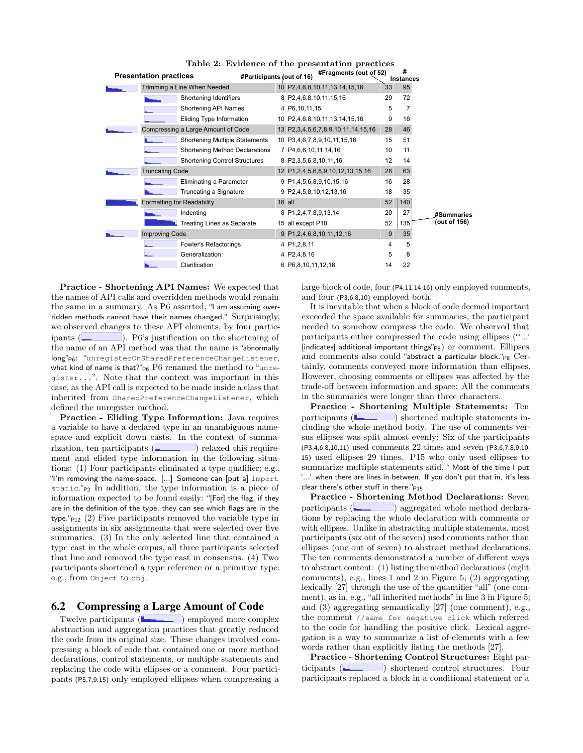| <b>Presentation practices</b> | #Participants (out of 16)             |                              | #Fragments (out of 52)                         |    | #<br><b>Instances</b> |              |
|-------------------------------|---------------------------------------|------------------------------|------------------------------------------------|----|-----------------------|--------------|
|                               | Trimming a Line When Needed           |                              | 10 P2,4,6,8,10,11,13,14,15,16                  | 33 | 95                    |              |
|                               | Shortening Identifiers                |                              | 8 P2, 4, 6, 8, 10, 11, 15, 16                  | 29 | 72                    |              |
|                               | Shortening API Names                  | 4 P6, 10, 11, 15             |                                                | 5  | 7                     |              |
|                               | Eliding Type Information              |                              | 10 P2,4,6,8,10,11,13,14,15,16                  | 9  | 16                    |              |
|                               | Compressing a Large Amount of Code    |                              | 13 P2, 3, 4, 5, 6, 7, 8, 9, 10, 11, 14, 15, 16 | 28 | 46                    |              |
|                               | <b>Shortening Multiple Statements</b> |                              | 10 P3,4,6,7,8,9,10,11,15,16                    | 15 | 51                    |              |
|                               | Shortening Method Declarations        | 7 P4.6.8.10.11.14.16         |                                                | 10 | 11                    |              |
|                               | <b>Shortening Control Structures</b>  | 8 P2, 3, 5, 6, 8, 10, 11, 16 |                                                | 12 | 14                    |              |
| <b>Truncating Code</b>        |                                       |                              | 12 P1, 2, 4, 5, 6, 8, 9, 10, 12, 13, 15, 16    | 28 | 63                    |              |
|                               | Eliminating a Parameter               |                              | 9 P1,4,5,6,8,9,10,15,16                        | 16 | 28                    |              |
|                               | Truncating a Signature                |                              | 9 P2, 4, 5, 8, 10, 12, 13, 16                  | 18 | 35                    |              |
|                               | Formatting for Readability            | $16$ all                     |                                                | 52 | 140                   |              |
|                               | Indenting                             | 8 P1, 2, 4, 7, 8, 9, 13, 14  |                                                | 20 | 27                    | #Summaries   |
|                               | Treating Lines as Separate            | 15 all except P10            |                                                | 52 | 135                   | (out of 156) |
| <b>Improving Code</b>         |                                       |                              | 9 P1,2,4,6,8,10,11,12,16                       | 9  | 35                    |              |
|                               | Fowler's Refactorings                 | 4 P1, 2, 8, 11               |                                                | 4  | 5                     |              |
|                               | Generalization                        | 4 P2,4,8,16                  |                                                | 5  | 8                     |              |
|                               | Clarification                         | 6 P6,8,10,11,12,16           |                                                | 14 | 22                    |              |

<span id="page-6-0"></span>Table 2: Evidence of the presentation practices

Practice - Shortening API Names: We expected that the names of API calls and overridden methods would remain the same in a summary. As P6 asserted, "I am assuming overridden methods cannot have their names changed." Surprisingly, we observed changes to these API elements, by four participants  $($   $\Box$ ). P6's justification on the shortening of the name of an API method was that the name is "abnormally long"P6: "unregisterOnSharedPreferenceChangeListener, what kind of name is that?" $p_6$  P6 renamed the method to "unregister...". Note that the context was important in this case, as the API call is expected to be made inside a class that inherited from SharedPreferenceChangeListener, which defined the unregister method.

Practice - Eliding Type Information: Java requires a variable to have a declared type in an unambiguous namespace and explicit down casts. In the context of summarization, ten participants  $($   $\qquad$   $\qquad$  relaxed this requirement and elided type information in the following situations: (1) Four participants eliminated a type qualifier; e.g., "I'm removing the name-space. [...] Someone can [put a] import static." $p_2$  In addition, the type information is a piece of information expected to be found easily: "[For] the flag, if they are in the definition of the type, they can see which flags are in the type."P12 (2) Five participants removed the variable type in assignments in six assignments that were selected over five summaries. (3) In the only selected line that contained a type cast in the whole corpus, all three participants selected that line and removed the type cast in consensus. (4) Two participants shortened a type reference or a primitive type: e.g., from Object to obj.

### <span id="page-6-1"></span>6.2 Compressing a Large Amount of Code

Twelve participants ( $\Box$ ) employed more complex abstraction and aggregation practices that greatly reduced the code from its original size. These changes involved compressing a block of code that contained one or more method declarations, control statements, or multiple statements and replacing the code with ellipses or a comment. Four participants (P5,7,9,15) only employed ellipses when compressing a

large block of code, four (P4,11,14,16) only employed comments, and four (P3,6,8,10) employed both.

It is inevitable that when a block of code deemed important exceeded the space available for summaries, the participant needed to somehow compress the code. We observed that participants either compressed the code using ellipses ("'... [indicates] additional important things" $_{P8}$ ] or comment. Ellipses and comments also could "abstract a particular block." $_{\text{P8}}$  Certainly, comments conveyed more information than ellipses. However, choosing comments or ellipses was affected by the trade-off between information and space: All the comments in the summaries were longer than three characters.

Practice - Shortening Multiple Statements: Ten  $particions ( \nightharpoonup )$  shortened multiple statements including the whole method body. The use of comments versus ellipses was split almost evenly: Six of the participants (P3,4,6,8,10,11) used comments 22 times and seven (P3,6,7,8,9,10, 15) used ellipses 29 times. P15 who only used ellipses to summarize multiple statements said, " Most of the time I put '...' when there are lines in between. If you don't put that in, it's less clear there's other stuff in there." $p_{15}$ 

Practice - Shortening Method Declarations: Seven participants ( $\qquad \qquad$ ) aggregated whole method declarations by replacing the whole declaration with comments or with ellipses. Unlike in abstracting multiple statements, most participants (six out of the seven) used comments rather than ellipses (one out of seven) to abstract method declarations. The ten comments demonstrated a number of different ways to abstract content: (1) listing the method declarations (eight comments), e.g., lines 1 and 2 in Figure [5;](#page-7-2) (2) aggregating lexically [\[27\]](#page-10-18) through the use of the quantifier "all" (one comment), as in, e.g., "all inherited methods" in line 3 in Figure [5;](#page-7-2) and (3) aggregating semantically [\[27\]](#page-10-18) (one comment), e.g., the comment //same for negative click which referred to the code for handling the positive click. Lexical aggregation is a way to summarize a list of elements with a few words rather than explicitly listing the methods [\[27\]](#page-10-18).

Practice - Shortening Control Structures: Eight participants ( $\sim$ ) shortened control structures. Four participants replaced a block in a conditional statement or a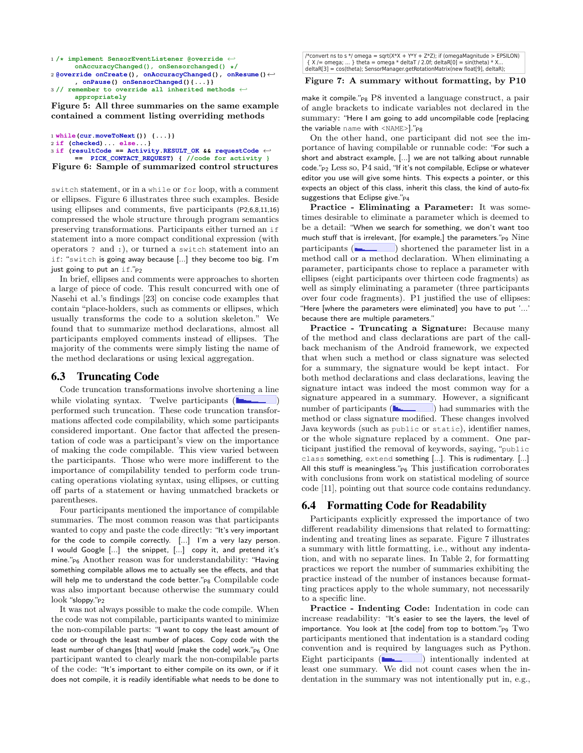```
1 /* implement SensorEventListener @override ←-
      onAccuracyChanged(), onSensorchanged() */
2 @override onCreate(), onAccuracyChanged(), onResume()←-
      , onPause() onSensorChanged(){...}}
3 // remember to override all inherited methods ←-
      appropriately
```
<span id="page-7-2"></span>Figure 5: All three summaries on the same example contained a comment listing overriding methods

1 **while(cur.moveToNext()) {...}}** 2 **if (checked)... else...}** <sup>3</sup> **if (resultCode == Activity.RESULT\_OK && requestCode** ←- **== PICK\_CONTACT\_REQUEST) { //code for activity }** Figure 6: Sample of summarized control structures

<span id="page-7-3"></span>switch statement, or in a while or for loop, with a comment or ellipses. Figure [6](#page-7-3) illustrates three such examples. Beside using ellipses and comments, five participants (P2,6,8,11,16) compressed the whole structure through program semantics preserving transformations. Participants either turned an if statement into a more compact conditional expression (with operators ? and :), or turned a switch statement into an if: "switch is going away because [...] they become too big. I'm just going to put an  $if.'p2$ 

In brief, ellipses and comments were approaches to shorten a large of piece of code. This result concurred with one of Nasehi et al.'s findings [\[23\]](#page-10-2) on concise code examples that contain "place-holders, such as comments or ellipses, which usually transforms the code to a solution skeleton." We found that to summarize method declarations, almost all participants employed comments instead of ellipses. The majority of the comments were simply listing the name of the method declarations or using lexical aggregation.

#### <span id="page-7-0"></span>6.3 Truncating Code

Code truncation transformations involve shortening a line while violating syntax. Twelve participants  $(\blacksquare$ performed such truncation. These code truncation transformations affected code compilability, which some participants considered important. One factor that affected the presentation of code was a participant's view on the importance of making the code compilable. This view varied between the participants. Those who were more indifferent to the importance of compilability tended to perform code truncating operations violating syntax, using ellipses, or cutting off parts of a statement or having unmatched brackets or parentheses.

Four participants mentioned the importance of compilable summaries. The most common reason was that participants wanted to copy and paste the code directly: "It's very important for the code to compile correctly. [...] I'm a very lazy person. I would Google [...] the snippet, [...] copy it, and pretend it's mine."P6 Another reason was for understandability: "Having something compilable allows me to actually see the effects, and that will help me to understand the code better." $_{P8}$  Compilable code was also important because otherwise the summary could look "sloppy."<sub>P2</sub>

It was not always possible to make the code compile. When the code was not compilable, participants wanted to minimize the non-compilable parts: "I want to copy the least amount of code or through the least number of places. Copy code with the least number of changes [that] would [make the code] work." $p_6$  One participant wanted to clearly mark the non-compilable parts of the code: "It's important to either compile on its own, or if it does not compile, it is readily identifiable what needs to be done to

 $/*$ convert ns to s \*/ omega = sqrt(X\*X + Y\*Y + Z\*Z); if (omegaMagnitude > EPSILON)  ${X}$  /= omega; ... } theta = omega \* deltaT / 2.0f; deltaR[0] = sin(theta) \* X. deltaR[3] = cos(theta); SensorManager.getRotationMatrix(new float[9], deltaR);

#### <span id="page-7-4"></span>Figure 7: A summary without formatting, by P10

make it compile."P8 P8 invented a language construct, a pair of angle brackets to indicate variables not declared in the summary: "Here I am going to add uncompilable code [replacing the variable name with  $\langle NAME \rangle$ ."P8

On the other hand, one participant did not see the importance of having compilable or runnable code: "For such a short and abstract example, [...] we are not talking about runnable code."P2 Less so, P4 said, "If it's not compilable, Eclipse or whatever editor you use will give some hints. This expects a pointer, or this expects an object of this class, inherit this class, the kind of auto-fix suggestions that Eclipse give."P4

Practice - Eliminating a Parameter: It was sometimes desirable to eliminate a parameter which is deemed to be a detail: "When we search for something, we don't want too much stuff that is irrelevant, [for example,] the parameters." $_{P9}$   $\rm{Nine}$ participants ( $\Box$ ) shortened the parameter list in a method call or a method declaration. When eliminating a parameter, participants chose to replace a parameter with ellipses (eight participants over thirteen code fragments) as well as simply eliminating a parameter (three participants over four code fragments). P1 justified the use of ellipses: "Here [where the parameters were eliminated] you have to put '...' because there are multiple parameters."

Practice - Truncating a Signature: Because many of the method and class declarations are part of the callback mechanism of the Android framework, we expected that when such a method or class signature was selected for a summary, the signature would be kept intact. For both method declarations and class declarations, leaving the signature intact was indeed the most common way for a signature appeared in a summary. However, a significant number of participants  $(\blacksquare \qquad )$  had summaries with the method or class signature modified. These changes involved Java keywords (such as public or static), identifier names, or the whole signature replaced by a comment. One participant justified the removal of keywords, saying, "public class something, extend something [...]. This is rudimentary. [...] All this stuff is meaningless." $P_6$  This justification corroborates with conclusions from work on statistical modeling of source code [\[11\]](#page-10-20), pointing out that source code contains redundancy.

### <span id="page-7-1"></span>6.4 Formatting Code for Readability

Participants explicitly expressed the importance of two different readability dimensions that related to formatting: indenting and treating lines as separate. Figure [7](#page-7-4) illustrates a summary with little formatting, i.e., without any indentation, and with no separate lines. In Table [2,](#page-6-0) for formatting practices we report the number of summaries exhibiting the practice instead of the number of instances because formatting practices apply to the whole summary, not necessarily to a specific line.

Practice - Indenting Code: Indentation in code can increase readability: "It's easier to see the layers, the level of importance. You look at [the code] from top to bottom." $_{P9}$  Two participants mentioned that indentation is a standard coding convention and is required by languages such as Python. Eight participants  $($   $)$  intentionally indented at least one summary. We did not count cases when the indentation in the summary was not intentionally put in, e.g.,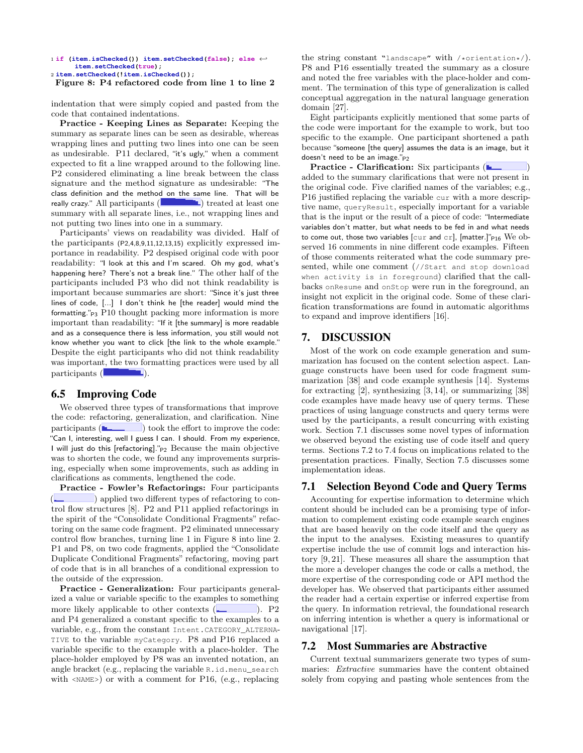#### <sup>1</sup> **if (item.isChecked()) item.setChecked(false); else** ← **item.setChecked(true);** 2 **item.setChecked(!item.isChecked());**

<span id="page-8-2"></span>Figure 8: P4 refactored code from line 1 to line 2

indentation that were simply copied and pasted from the code that contained indentations.

Practice - Keeping Lines as Separate: Keeping the summary as separate lines can be seen as desirable, whereas wrapping lines and putting two lines into one can be seen as undesirable. P11 declared, "it's ugly," when a comment expected to fit a line wrapped around to the following line. P2 considered eliminating a line break between the class signature and the method signature as undesirable: "The class definition and the method on the same line. That will be really crazy." All participants  $($   $\blacksquare$  treated at least one summary with all separate lines, i.e., not wrapping lines and not putting two lines into one in a summary.

Participants' views on readability was divided. Half of the participants (P2,4,8,9,11,12,13,15) explicitly expressed importance in readability. P2 despised original code with poor readability: "I look at this and I'm scared. Oh my god, what's happening here? There's not a break line." The other half of the participants included P3 who did not think readability is important because summaries are short: "Since it's just three lines of code, [...] I don't think he [the reader] would mind the formatting."P3 P10 thought packing more information is more important than readability: "If it [the summary] is more readable and as a consequence there is less information, you still would not know whether you want to click [the link to the whole example." Despite the eight participants who did not think readability was important, the two formatting practices were used by all participants (**I)**.

#### <span id="page-8-1"></span>6.5 Improving Code

We observed three types of transformations that improve the code: refactoring, generalization, and clarification. Nine participants  $(\blacksquare \blacksquare \blacksquare)$  took the effort to improve the code: "Can I, interesting, well I guess I can. I should. From my experience, I will just do this [refactoring]."P2 Because the main objective was to shorten the code, we found any improvements surprising, especially when some improvements, such as adding in clarifications as comments, lengthened the code.

Practice - Fowler's Refactorings: Four participants  $\left($   $\blacksquare$  applied two different types of refactoring to control flow structures [\[8\]](#page-10-21). P2 and P11 applied refactorings in the spirit of the "Consolidate Conditional Fragments" refactoring on the same code fragment. P2 eliminated unnecessary control flow branches, turning line 1 in Figure [8](#page-8-2) into line 2. P1 and P8, on two code fragments, applied the "Consolidate Duplicate Conditional Fragments" refactoring, moving part of code that is in all branches of a conditional expression to the outside of the expression.

Practice - Generalization: Four participants generalized a value or variable specific to the examples to something more likely applicable to other contexts  $($ and P4 generalized a constant specific to the examples to a variable, e.g., from the constant Intent.CATEGORY\_ALTERNA-TIVE to the variable myCategory. P8 and P16 replaced a variable specific to the example with a place-holder. The place-holder employed by P8 was an invented notation, an angle bracket (e.g., replacing the variable R.id.menu\_search with <NAME>) or with a comment for P16, (e.g., replacing the string constant "landscape" with  $\sqrt{\arctan^2}$ . P8 and P16 essentially treated the summary as a closure and noted the free variables with the place-holder and comment. The termination of this type of generalization is called conceptual aggregation in the natural language generation domain [\[27\]](#page-10-18).

Eight participants explicitly mentioned that some parts of the code were important for the example to work, but too specific to the example. One participant shortened a path because "someone [the query] assumes the data is an image, but it doesn't need to be an image." $p_2$ 

Practice - Clarification: Six participants ( added to the summary clarifications that were not present in the original code. Five clarified names of the variables; e.g., P16 justified replacing the variable cur with a more descriptive name, queryResult, especially important for a variable that is the input or the result of a piece of code: "Intermediate variables don't matter, but what needs to be fed in and what needs to come out, those two variables  $[\text{cur}$  and  $\text{cr}$ ], [matter.]" $p_{16}$  We observed 16 comments in nine different code examples. Fifteen of those comments reiterated what the code summary presented, while one comment (//Start and stop download when activity is in foreground) clarified that the callbacks onResume and onStop were run in the foreground, an insight not explicit in the original code. Some of these clarification transformations are found in automatic algorithms to expand and improve identifiers [\[16\]](#page-10-22).

### <span id="page-8-0"></span>7. DISCUSSION

Most of the work on code example generation and summarization has focused on the content selection aspect. Language constructs have been used for code fragment summarization [\[38\]](#page-11-5) and code example synthesis [\[14\]](#page-10-7). Systems for extracting [\[2\]](#page-10-5), synthesizing [\[3,](#page-10-6) [14\]](#page-10-7), or summarizing [\[38\]](#page-11-5) code examples have made heavy use of query terms. These practices of using language constructs and query terms were used by the participants, a result concurring with existing work. Section [7.1](#page-8-3) discusses some novel types of information we observed beyond the existing use of code itself and query terms. Sections [7.2](#page-8-4) to [7.4](#page-9-0) focus on implications related to the presentation practices. Finally, Section [7.5](#page-9-1) discusses some implementation ideas.

#### <span id="page-8-3"></span>7.1 Selection Beyond Code and Query Terms

Accounting for expertise information to determine which content should be included can be a promising type of information to complement existing code example search engines that are based heavily on the code itself and the query as the input to the analyses. Existing measures to quantify expertise include the use of commit logs and interaction history [\[9,](#page-10-23) [21\]](#page-10-24). These measures all share the assumption that the more a developer changes the code or calls a method, the more expertise of the corresponding code or API method the developer has. We observed that participants either assumed the reader had a certain expertise or inferred expertise from the query. In information retrieval, the foundational research on inferring intention is whether a query is informational or navigational [\[17\]](#page-10-25).

#### <span id="page-8-4"></span>7.2 Most Summaries are Abstractive

Current textual summarizers generate two types of summaries: Extractive summaries have the content obtained solely from copying and pasting whole sentences from the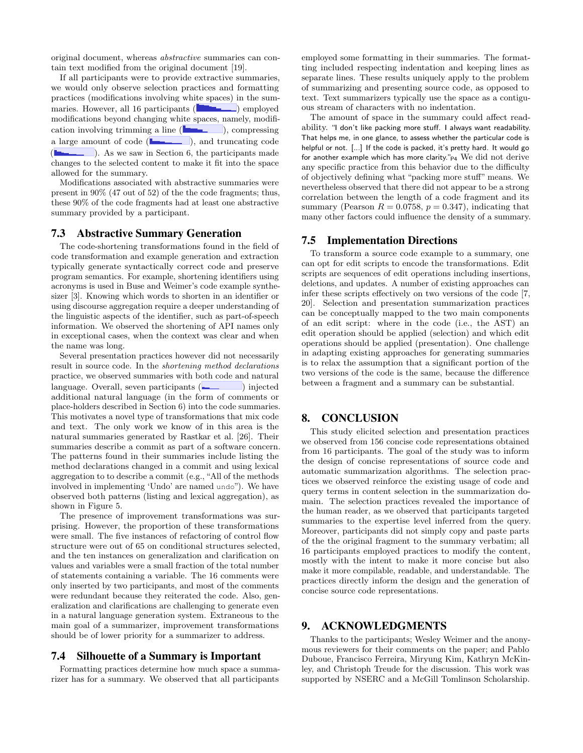original document, whereas abstractive summaries can contain text modified from the original document [\[19\]](#page-10-26).

If all participants were to provide extractive summaries, we would only observe selection practices and formatting practices (modifications involving white spaces) in the summaries. However, all 16 participants (**Internal**) employed modifications beyond changing white spaces, namely, modification involving trimming a line  $(\blacksquare \blacksquare \blacksquare)$ , compressing a large amount of code ( $\Box$ ), and truncating code  $\left($   $\blacksquare$ ). As we saw in Section [6,](#page-5-0) the participants made changes to the selected content to make it fit into the space allowed for the summary.

Modifications associated with abstractive summaries were present in 90% (47 out of 52) of the the code fragments; thus, these 90% of the code fragments had at least one abstractive summary provided by a participant.

#### 7.3 Abstractive Summary Generation

The code-shortening transformations found in the field of code transformation and example generation and extraction typically generate syntactically correct code and preserve program semantics. For example, shortening identifiers using acronyms is used in Buse and Weimer's code example synthesizer [\[3\]](#page-10-6). Knowing which words to shorten in an identifier or using discourse aggregation require a deeper understanding of the linguistic aspects of the identifier, such as part-of-speech information. We observed the shortening of API names only in exceptional cases, when the context was clear and when the name was long.

Several presentation practices however did not necessarily result in source code. In the shortening method declarations practice, we observed summaries with both code and natural  $\lvert$  language. Overall, seven participants ( $\lvert$   $\lvert$  ) injected additional natural language (in the form of comments or place-holders described in Section [6\)](#page-5-0) into the code summaries. This motivates a novel type of transformations that mix code and text. The only work we know of in this area is the natural summaries generated by Rastkar et al. [\[26\]](#page-10-27). Their summaries describe a commit as part of a software concern. The patterns found in their summaries include listing the method declarations changed in a commit and using lexical aggregation to to describe a commit (e.g., "All of the methods involved in implementing 'Undo' are named undo"). We have observed both patterns (listing and lexical aggregation), as shown in Figure [5.](#page-7-2)

The presence of improvement transformations was surprising. However, the proportion of these transformations were small. The five instances of refactoring of control flow structure were out of 65 on conditional structures selected, and the ten instances on generalization and clarification on values and variables were a small fraction of the total number of statements containing a variable. The 16 comments were only inserted by two participants, and most of the comments were redundant because they reiterated the code. Also, generalization and clarifications are challenging to generate even in a natural language generation system. Extraneous to the main goal of a summarizer, improvement transformations should be of lower priority for a summarizer to address.

#### <span id="page-9-0"></span>7.4 Silhouette of a Summary is Important

Formatting practices determine how much space a summarizer has for a summary. We observed that all participants

employed some formatting in their summaries. The formatting included respecting indentation and keeping lines as separate lines. These results uniquely apply to the problem of summarizing and presenting source code, as opposed to text. Text summarizers typically use the space as a contiguous stream of characters with no indentation.

The amount of space in the summary could affect readability. "I don't like packing more stuff. I always want readability. That helps me, in one glance, to assess whether the particular code is helpful or not. [...] If the code is packed, it's pretty hard. It would go for another example which has more clarity." $p_4$  We did not derive any specific practice from this behavior due to the difficulty of objectively defining what "packing more stuff" means. We nevertheless observed that there did not appear to be a strong correlation between the length of a code fragment and its summary (Pearson  $R = 0.0758$ ,  $p = 0.347$ ), indicating that many other factors could influence the density of a summary.

#### <span id="page-9-1"></span>7.5 Implementation Directions

To transform a source code example to a summary, one can opt for edit scripts to encode the transformations. Edit scripts are sequences of edit operations including insertions, deletions, and updates. A number of existing approaches can infer these scripts effectively on two versions of the code [\[7,](#page-10-28) [20\]](#page-10-29). Selection and presentation summarization practices can be conceptually mapped to the two main components of an edit script: where in the code (i.e., the AST) an edit operation should be applied (selection) and which edit operations should be applied (presentation). One challenge in adapting existing approaches for generating summaries is to relax the assumption that a significant portion of the two versions of the code is the same, because the difference between a fragment and a summary can be substantial.

#### 8. CONCLUSION

This study elicited selection and presentation practices we observed from 156 concise code representations obtained from 16 participants. The goal of the study was to inform the design of concise representations of source code and automatic summarization algorithms. The selection practices we observed reinforce the existing usage of code and query terms in content selection in the summarization domain. The selection practices revealed the importance of the human reader, as we observed that participants targeted summaries to the expertise level inferred from the query. Moreover, participants did not simply copy and paste parts of the the original fragment to the summary verbatim; all 16 participants employed practices to modify the content, mostly with the intent to make it more concise but also make it more compilable, readable, and understandable. The practices directly inform the design and the generation of concise source code representations.

#### 9. ACKNOWLEDGMENTS

Thanks to the participants; Wesley Weimer and the anonymous reviewers for their comments on the paper; and Pablo Duboue, Francisco Ferreira, Miryung Kim, Kathryn McKinley, and Christoph Treude for the discussion. This work was supported by NSERC and a McGill Tomlinson Scholarship.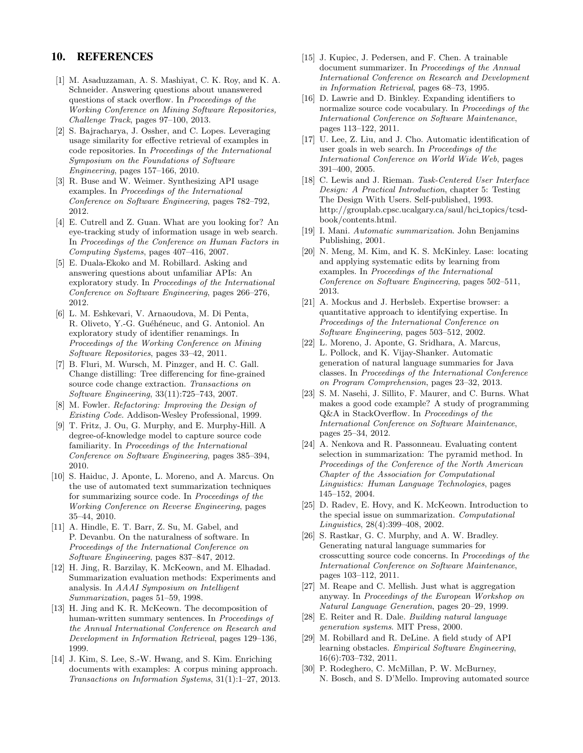#### 10. REFERENCES

- <span id="page-10-1"></span>[1] M. Asaduzzaman, A. S. Mashiyat, C. K. Roy, and K. A. Schneider. Answering questions about unanswered questions of stack overflow. In Proceedings of the Working Conference on Mining Software Repositories, Challenge Track, pages 97–100, 2013.
- <span id="page-10-5"></span>[2] S. Bajracharya, J. Ossher, and C. Lopes. Leveraging usage similarity for effective retrieval of examples in code repositories. In Proceedings of the International Symposium on the Foundations of Software Engineering, pages 157–166, 2010.
- <span id="page-10-6"></span>[3] R. Buse and W. Weimer. Synthesizing API usage examples. In Proceedings of the International Conference on Software Engineering, pages 782–792, 2012.
- <span id="page-10-12"></span>[4] E. Cutrell and Z. Guan. What are you looking for? An eye-tracking study of information usage in web search. In Proceedings of the Conference on Human Factors in Computing Systems, pages 407–416, 2007.
- <span id="page-10-3"></span>[5] E. Duala-Ekoko and M. Robillard. Asking and answering questions about unfamiliar APIs: An exploratory study. In Proceedings of the International Conference on Software Engineering, pages 266–276, 2012.
- <span id="page-10-19"></span>[6] L. M. Eshkevari, V. Arnaoudova, M. Di Penta, R. Oliveto, Y.-G. Guéhéneuc, and G. Antoniol. An exploratory study of identifier renamings. In Proceedings of the Working Conference on Mining Software Repositories, pages 33–42, 2011.
- <span id="page-10-28"></span>[7] B. Fluri, M. Wursch, M. Pinzger, and H. C. Gall. Change distilling: Tree differencing for fine-grained source code change extraction. Transactions on Software Engineering, 33(11):725–743, 2007.
- <span id="page-10-21"></span>[8] M. Fowler. Refactoring: Improving the Design of Existing Code. Addison-Wesley Professional, 1999.
- <span id="page-10-23"></span>[9] T. Fritz, J. Ou, G. Murphy, and E. Murphy-Hill. A degree-of-knowledge model to capture source code familiarity. In Proceedings of the International Conference on Software Engineering, pages 385–394, 2010.
- <span id="page-10-9"></span>[10] S. Haiduc, J. Aponte, L. Moreno, and A. Marcus. On the use of automated text summarization techniques for summarizing source code. In Proceedings of the Working Conference on Reverse Engineering, pages 35–44, 2010.
- <span id="page-10-20"></span>[11] A. Hindle, E. T. Barr, Z. Su, M. Gabel, and P. Devanbu. On the naturalness of software. In Proceedings of the International Conference on Software Engineering, pages 837–847, 2012.
- <span id="page-10-16"></span>[12] H. Jing, R. Barzilay, K. McKeown, and M. Elhadad. Summarization evaluation methods: Experiments and analysis. In AAAI Symposium on Intelligent Summarization, pages 51–59, 1998.
- <span id="page-10-8"></span>[13] H. Jing and K. R. McKeown. The decomposition of human-written summary sentences. In Proceedings of the Annual International Conference on Research and Development in Information Retrieval, pages 129–136, 1999.
- <span id="page-10-7"></span>[14] J. Kim, S. Lee, S.-W. Hwang, and S. Kim. Enriching documents with examples: A corpus mining approach. Transactions on Information Systems, 31(1):1–27, 2013.
- <span id="page-10-4"></span>[15] J. Kupiec, J. Pedersen, and F. Chen. A trainable document summarizer. In Proceedings of the Annual International Conference on Research and Development in Information Retrieval, pages 68–73, 1995.
- <span id="page-10-22"></span>[16] D. Lawrie and D. Binkley. Expanding identifiers to normalize source code vocabulary. In Proceedings of the International Conference on Software Maintenance, pages 113–122, 2011.
- <span id="page-10-25"></span>[17] U. Lee, Z. Liu, and J. Cho. Automatic identification of user goals in web search. In Proceedings of the International Conference on World Wide Web, pages 391–400, 2005.
- <span id="page-10-13"></span>[18] C. Lewis and J. Rieman. Task-Centered User Interface Design: A Practical Introduction, chapter 5: Testing The Design With Users. Self-published, 1993. http://grouplab.cpsc.ucalgary.ca/saul/hci\_topics/tcsdbook/contents.html.
- <span id="page-10-26"></span>[19] I. Mani. Automatic summarization. John Benjamins Publishing, 2001.
- <span id="page-10-29"></span>[20] N. Meng, M. Kim, and K. S. McKinley. Lase: locating and applying systematic edits by learning from examples. In Proceedings of the International Conference on Software Engineering, pages 502–511, 2013.
- <span id="page-10-24"></span>[21] A. Mockus and J. Herbsleb. Expertise browser: a quantitative approach to identifying expertise. In Proceedings of the International Conference on Software Engineering, pages 503–512, 2002.
- <span id="page-10-11"></span>[22] L. Moreno, J. Aponte, G. Sridhara, A. Marcus, L. Pollock, and K. Vijay-Shanker. Automatic generation of natural language summaries for Java classes. In Proceedings of the International Conference on Program Comprehension, pages 23–32, 2013.
- <span id="page-10-2"></span>[23] S. M. Nasehi, J. Sillito, F. Maurer, and C. Burns. What makes a good code example? A study of programming Q&A in StackOverflow. In Proceedings of the International Conference on Software Maintenance, pages 25–34, 2012.
- <span id="page-10-15"></span>[24] A. Nenkova and R. Passonneau. Evaluating content selection in summarization: The pyramid method. In Proceedings of the Conference of the North American Chapter of the Association for Computational Linguistics: Human Language Technologies, pages 145–152, 2004.
- <span id="page-10-14"></span>[25] D. Radev, E. Hovy, and K. McKeown. Introduction to the special issue on summarization. Computational Linguistics, 28(4):399–408, 2002.
- <span id="page-10-27"></span>[26] S. Rastkar, G. C. Murphy, and A. W. Bradley. Generating natural language summaries for crosscutting source code concerns. In Proceedings of the International Conference on Software Maintenance, pages 103–112, 2011.
- <span id="page-10-18"></span>[27] M. Reape and C. Mellish. Just what is aggregation anyway. In Proceedings of the European Workshop on Natural Language Generation, pages 20–29, 1999.
- <span id="page-10-17"></span>[28] E. Reiter and R. Dale. Building natural language generation systems. MIT Press, 2000.
- <span id="page-10-0"></span>[29] M. Robillard and R. DeLine. A field study of API learning obstacles. Empirical Software Engineering, 16(6):703–732, 2011.
- <span id="page-10-10"></span>[30] P. Rodeghero, C. McMillan, P. W. McBurney, N. Bosch, and S. D'Mello. Improving automated source